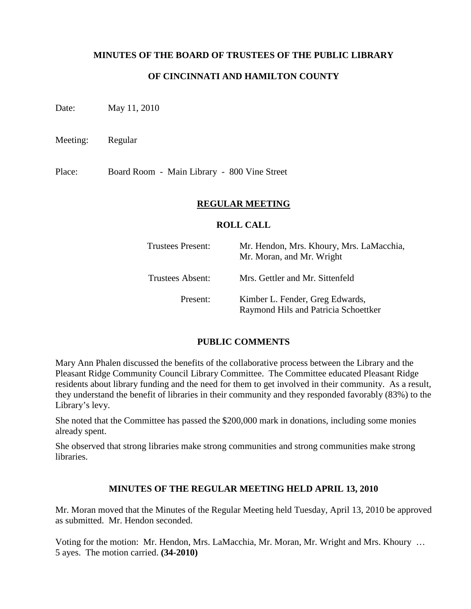### **MINUTES OF THE BOARD OF TRUSTEES OF THE PUBLIC LIBRARY**

### **OF CINCINNATI AND HAMILTON COUNTY**

Date: May 11, 2010

Meeting: Regular

Place: Board Room - Main Library - 800 Vine Street

#### **REGULAR MEETING**

#### **ROLL CALL**

| <b>Trustees Present:</b> | Mr. Hendon, Mrs. Khoury, Mrs. LaMacchia,<br>Mr. Moran, and Mr. Wright   |
|--------------------------|-------------------------------------------------------------------------|
| Trustees Absent:         | Mrs. Gettler and Mr. Sittenfeld                                         |
| Present:                 | Kimber L. Fender, Greg Edwards,<br>Raymond Hils and Patricia Schoettker |

#### **PUBLIC COMMENTS**

Mary Ann Phalen discussed the benefits of the collaborative process between the Library and the Pleasant Ridge Community Council Library Committee. The Committee educated Pleasant Ridge residents about library funding and the need for them to get involved in their community. As a result, they understand the benefit of libraries in their community and they responded favorably (83%) to the Library's levy.

She noted that the Committee has passed the \$200,000 mark in donations, including some monies already spent.

She observed that strong libraries make strong communities and strong communities make strong libraries.

### **MINUTES OF THE REGULAR MEETING HELD APRIL 13, 2010**

Mr. Moran moved that the Minutes of the Regular Meeting held Tuesday, April 13, 2010 be approved as submitted. Mr. Hendon seconded.

Voting for the motion: Mr. Hendon, Mrs. LaMacchia, Mr. Moran, Mr. Wright and Mrs. Khoury … 5 ayes. The motion carried. **(34-2010)**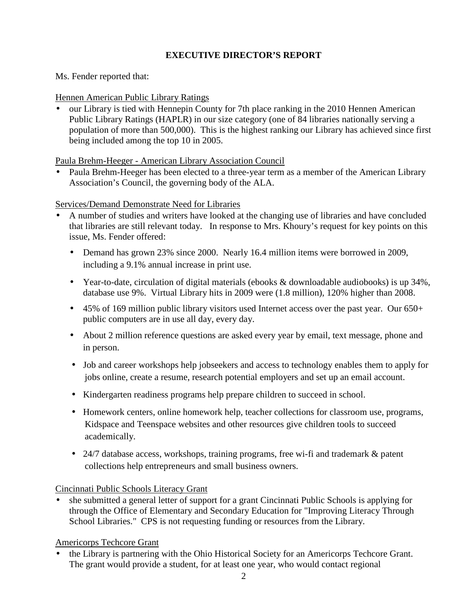# **EXECUTIVE DIRECTOR'S REPORT**

Ms. Fender reported that:

## Hennen American Public Library Ratings

• our Library is tied with Hennepin County for 7th place ranking in the 2010 Hennen American Public Library Ratings (HAPLR) in our size category (one of 84 libraries nationally serving a population of more than 500,000). This is the highest ranking our Library has achieved since first being included among the top 10 in 2005.

Paula Brehm-Heeger - American Library Association Council

• Paula Brehm-Heeger has been elected to a three-year term as a member of the American Library Association's Council, the governing body of the ALA.

Services/Demand Demonstrate Need for Libraries

- A number of studies and writers have looked at the changing use of libraries and have concluded that libraries are still relevant today. In response to Mrs. Khoury's request for key points on this issue, Ms. Fender offered:
	- Demand has grown 23% since 2000. Nearly 16.4 million items were borrowed in 2009, including a 9.1% annual increase in print use.
	- Year-to-date, circulation of digital materials (ebooks & downloadable audiobooks) is up 34%, database use 9%. Virtual Library hits in 2009 were (1.8 million), 120% higher than 2008.
	- 45% of 169 million public library visitors used Internet access over the past year. Our  $650+$ public computers are in use all day, every day.
	- About 2 million reference questions are asked every year by email, text message, phone and in person.
	- Job and career workshops help jobseekers and access to technology enables them to apply for jobs online, create a resume, research potential employers and set up an email account.
	- Kindergarten readiness programs help prepare children to succeed in school.
	- Homework centers, online homework help, teacher collections for classroom use, programs, Kidspace and Teenspace websites and other resources give children tools to succeed academically.
	- 24/7 database access, workshops, training programs, free wi-fi and trademark & patent collections help entrepreneurs and small business owners.

# Cincinnati Public Schools Literacy Grant

• she submitted a general letter of support for a grant Cincinnati Public Schools is applying for through the Office of Elementary and Secondary Education for "Improving Literacy Through School Libraries." CPS is not requesting funding or resources from the Library.

# Americorps Techcore Grant

• the Library is partnering with the Ohio Historical Society for an Americorps Techcore Grant. The grant would provide a student, for at least one year, who would contact regional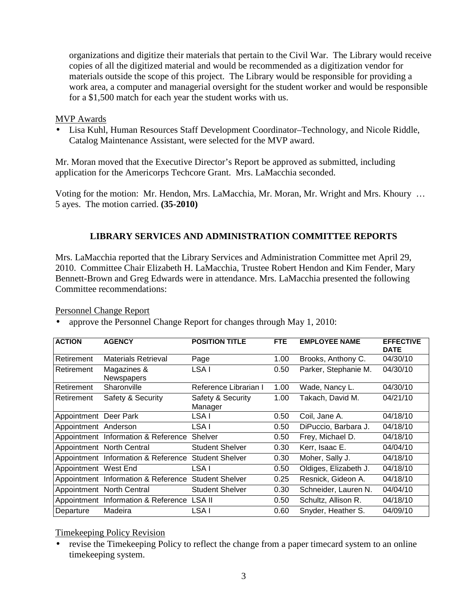organizations and digitize their materials that pertain to the Civil War. The Library would receive copies of all the digitized material and would be recommended as a digitization vendor for materials outside the scope of this project. The Library would be responsible for providing a work area, a computer and managerial oversight for the student worker and would be responsible for a \$1,500 match for each year the student works with us.

### MVP Awards

• Lisa Kuhl, Human Resources Staff Development Coordinator–Technology, and Nicole Riddle, Catalog Maintenance Assistant, were selected for the MVP award.

Mr. Moran moved that the Executive Director's Report be approved as submitted, including application for the Americorps Techcore Grant. Mrs. LaMacchia seconded.

Voting for the motion: Mr. Hendon, Mrs. LaMacchia, Mr. Moran, Mr. Wright and Mrs. Khoury … 5 ayes. The motion carried. **(35-2010)**

### **LIBRARY SERVICES AND ADMINISTRATION COMMITTEE REPORTS**

Mrs. LaMacchia reported that the Library Services and Administration Committee met April 29, 2010. Committee Chair Elizabeth H. LaMacchia, Trustee Robert Hendon and Kim Fender, Mary Bennett-Brown and Greg Edwards were in attendance. Mrs. LaMacchia presented the following Committee recommendations:

Personnel Change Report

• approve the Personnel Change Report for changes through May 1, 2010:

| <b>ACTION</b>         | <b>AGENCY</b>                              | <b>POSITION TITLE</b>        | FTE. | <b>EMPLOYEE NAME</b>  | <b>EFFECTIVE</b><br><b>DATE</b> |
|-----------------------|--------------------------------------------|------------------------------|------|-----------------------|---------------------------------|
| Retirement            | <b>Materials Retrieval</b>                 | Page                         | 1.00 | Brooks, Anthony C.    | 04/30/10                        |
| Retirement            | Magazines &<br>Newspapers                  | LSA I                        | 0.50 | Parker, Stephanie M.  | 04/30/10                        |
| Retirement            | Sharonville                                | Reference Librarian I        | 1.00 | Wade, Nancy L.        | 04/30/10                        |
| Retirement            | Safety & Security                          | Safety & Security<br>Manager | 1.00 | Takach, David M.      | 04/21/10                        |
| Appointment Deer Park |                                            | LSA I                        | 0.50 | Coil, Jane A.         | 04/18/10                        |
| Appointment Anderson  |                                            | LSA I                        | 0.50 | DiPuccio, Barbara J.  | 04/18/10                        |
|                       | Appointment Information & Reference        | Shelver                      | 0.50 | Frey, Michael D.      | 04/18/10                        |
|                       | Appointment North Central                  | <b>Student Shelver</b>       | 0.30 | Kerr, Isaac E.        | 04/04/10                        |
|                       | Appointment Information & Reference        | <b>Student Shelver</b>       | 0.30 | Moher, Sally J.       | 04/18/10                        |
| Appointment West End  |                                            | LSA I                        | 0.50 | Oldiges, Elizabeth J. | 04/18/10                        |
|                       | Appointment Information & Reference        | <b>Student Shelver</b>       | 0.25 | Resnick, Gideon A.    | 04/18/10                        |
|                       | Appointment North Central                  | <b>Student Shelver</b>       | 0.30 | Schneider, Lauren N.  | 04/04/10                        |
|                       | Appointment Information & Reference LSA II |                              | 0.50 | Schultz, Allison R.   | 04/18/10                        |
| Departure             | Madeira                                    | LSA I                        | 0.60 | Snyder, Heather S.    | 04/09/10                        |

Timekeeping Policy Revision

• revise the Timekeeping Policy to reflect the change from a paper timecard system to an online timekeeping system.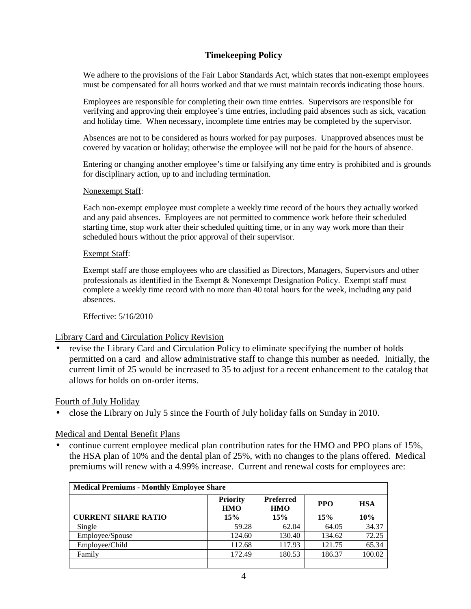## **Timekeeping Policy**

We adhere to the provisions of the Fair Labor Standards Act, which states that non-exempt employees must be compensated for all hours worked and that we must maintain records indicating those hours.

Employees are responsible for completing their own time entries. Supervisors are responsible for verifying and approving their employee's time entries, including paid absences such as sick, vacation and holiday time. When necessary, incomplete time entries may be completed by the supervisor.

Absences are not to be considered as hours worked for pay purposes. Unapproved absences must be covered by vacation or holiday; otherwise the employee will not be paid for the hours of absence.

Entering or changing another employee's time or falsifying any time entry is prohibited and is grounds for disciplinary action, up to and including termination.

#### Nonexempt Staff:

Each non-exempt employee must complete a weekly time record of the hours they actually worked and any paid absences. Employees are not permitted to commence work before their scheduled starting time, stop work after their scheduled quitting time, or in any way work more than their scheduled hours without the prior approval of their supervisor.

#### Exempt Staff:

Exempt staff are those employees who are classified as Directors, Managers, Supervisors and other professionals as identified in the Exempt & Nonexempt Designation Policy. Exempt staff must complete a weekly time record with no more than 40 total hours for the week, including any paid absences.

Effective: 5/16/2010

#### Library Card and Circulation Policy Revision

• revise the Library Card and Circulation Policy to eliminate specifying the number of holds permitted on a card and allow administrative staff to change this number as needed. Initially, the current limit of 25 would be increased to 35 to adjust for a recent enhancement to the catalog that allows for holds on on-order items.

#### Fourth of July Holiday

• close the Library on July 5 since the Fourth of July holiday falls on Sunday in 2010.

#### Medical and Dental Benefit Plans

• continue current employee medical plan contribution rates for the HMO and PPO plans of 15%, the HSA plan of 10% and the dental plan of 25%, with no changes to the plans offered. Medical premiums will renew with a 4.99% increase. Current and renewal costs for employees are:

| <b>Medical Premiums - Monthly Employee Share</b> |                               |                                |            |            |
|--------------------------------------------------|-------------------------------|--------------------------------|------------|------------|
|                                                  | <b>Priority</b><br><b>HMO</b> | <b>Preferred</b><br><b>HMO</b> | <b>PPO</b> | <b>HSA</b> |
| <b>CURRENT SHARE RATIO</b>                       | 15%                           | 15%                            | 15%        | 10%        |
| Single                                           | 59.28                         | 62.04                          | 64.05      | 34.37      |
| Employee/Spouse                                  | 124.60                        | 130.40                         | 134.62     | 72.25      |
| Employee/Child                                   | 112.68                        | 117.93                         | 121.75     | 65.34      |
| Family                                           | 172.49                        | 180.53                         | 186.37     | 100.02     |
|                                                  |                               |                                |            |            |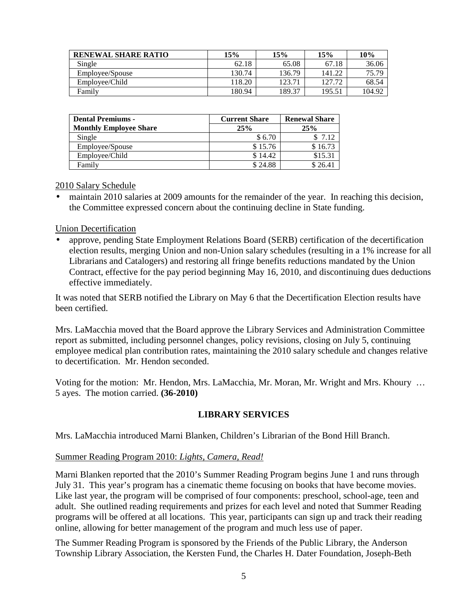| <b>RENEWAL SHARE RATIO</b> | 15%    | 15%    | 15%    | 10%    |
|----------------------------|--------|--------|--------|--------|
| Single                     | 62.18  | 65.08  | 67.18  | 36.06  |
| Employee/Spouse            | 130.74 | 136.79 | 141.22 | 75.79  |
| Employee/Child             | 118.20 | 123.71 | 127.72 | 68.54  |
| Family                     | 180.94 | 189.37 | 195.51 | 104.92 |

| <b>Dental Premiums -</b>      | <b>Current Share</b> | <b>Renewal Share</b> |
|-------------------------------|----------------------|----------------------|
| <b>Monthly Employee Share</b> | 25%                  | 25%                  |
| Single                        | \$6.70               | \$7.12               |
| Employee/Spouse               | \$15.76              | \$16.73              |
| Employee/Child                | \$14.42              | \$15.31              |
| Family                        | \$24.88              | \$26.41              |

2010 Salary Schedule

• maintain 2010 salaries at 2009 amounts for the remainder of the year. In reaching this decision, the Committee expressed concern about the continuing decline in State funding.

#### Union Decertification

• approve, pending State Employment Relations Board (SERB) certification of the decertification election results, merging Union and non-Union salary schedules (resulting in a 1% increase for all Librarians and Catalogers) and restoring all fringe benefits reductions mandated by the Union Contract, effective for the pay period beginning May 16, 2010, and discontinuing dues deductions effective immediately.

It was noted that SERB notified the Library on May 6 that the Decertification Election results have been certified.

Mrs. LaMacchia moved that the Board approve the Library Services and Administration Committee report as submitted, including personnel changes, policy revisions, closing on July 5, continuing employee medical plan contribution rates, maintaining the 2010 salary schedule and changes relative to decertification. Mr. Hendon seconded.

Voting for the motion: Mr. Hendon, Mrs. LaMacchia, Mr. Moran, Mr. Wright and Mrs. Khoury … 5 ayes. The motion carried. **(36-2010)**

### **LIBRARY SERVICES**

Mrs. LaMacchia introduced Marni Blanken, Children's Librarian of the Bond Hill Branch.

#### Summer Reading Program 2010: *Lights, Camera, Read!*

Marni Blanken reported that the 2010's Summer Reading Program begins June 1 and runs through July 31. This year's program has a cinematic theme focusing on books that have become movies. Like last year, the program will be comprised of four components: preschool, school-age, teen and adult. She outlined reading requirements and prizes for each level and noted that Summer Reading programs will be offered at all locations. This year, participants can sign up and track their reading online, allowing for better management of the program and much less use of paper.

The Summer Reading Program is sponsored by the Friends of the Public Library, the Anderson Township Library Association, the Kersten Fund, the Charles H. Dater Foundation, Joseph-Beth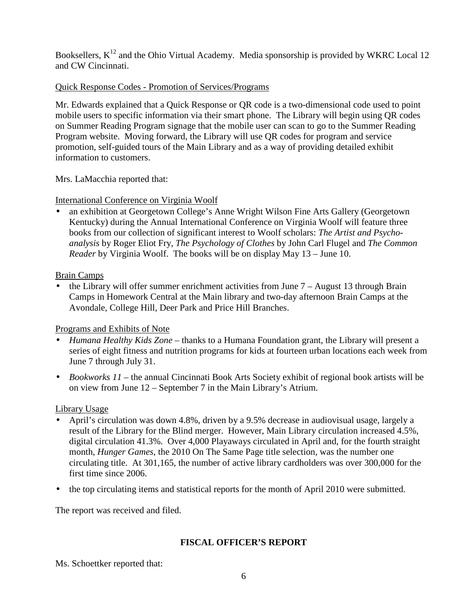Booksellers,  $K^{12}$  and the Ohio Virtual Academy. Media sponsorship is provided by WKRC Local 12 and CW Cincinnati.

# Quick Response Codes - Promotion of Services/Programs

Mr. Edwards explained that a Quick Response or QR code is a two-dimensional code used to point mobile users to specific information via their smart phone. The Library will begin using QR codes on Summer Reading Program signage that the mobile user can scan to go to the Summer Reading Program website. Moving forward, the Library will use QR codes for program and service promotion, self-guided tours of the Main Library and as a way of providing detailed exhibit information to customers.

Mrs. LaMacchia reported that:

### International Conference on Virginia Woolf

• an exhibition at Georgetown College's Anne Wright Wilson Fine Arts Gallery (Georgetown Kentucky) during the Annual International Conference on Virginia Woolf will feature three books from our collection of significant interest to Woolf scholars: *The Artist and Psychoanalysis* by Roger Eliot Fry, *The Psychology of Clothes* by John Carl Flugel and *The Common Reader* by Virginia Woolf. The books will be on display May 13 – June 10.

Brain Camps

• the Library will offer summer enrichment activities from June  $7 -$  August 13 through Brain Camps in Homework Central at the Main library and two-day afternoon Brain Camps at the Avondale, College Hill, Deer Park and Price Hill Branches.

### Programs and Exhibits of Note

- *Humana Healthy Kids Zone*  thanks to a Humana Foundation grant, the Library will present a series of eight fitness and nutrition programs for kids at fourteen urban locations each week from June 7 through July 31.
- *Bookworks 11* the annual Cincinnati Book Arts Society exhibit of regional book artists will be on view from June 12 – September 7 in the Main Library's Atrium.

### Library Usage

- April's circulation was down 4.8%, driven by a 9.5% decrease in audiovisual usage, largely a result of the Library for the Blind merger. However, Main Library circulation increased 4.5%, digital circulation 41.3%. Over 4,000 Playaways circulated in April and, for the fourth straight month, *Hunger Games*, the 2010 On The Same Page title selection, was the number one circulating title. At 301,165, the number of active library cardholders was over 300,000 for the first time since 2006.
- the top circulating items and statistical reports for the month of April 2010 were submitted.

The report was received and filed.

### **FISCAL OFFICER'S REPORT**

Ms. Schoettker reported that: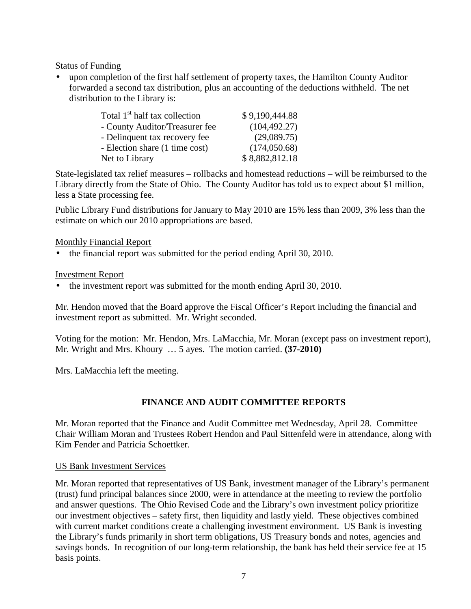Status of Funding

• upon completion of the first half settlement of property taxes, the Hamilton County Auditor forwarded a second tax distribution, plus an accounting of the deductions withheld. The net distribution to the Library is:

| Total 1 <sup>st</sup> half tax collection | \$9,190,444.88 |
|-------------------------------------------|----------------|
| - County Auditor/Treasurer fee            | (104, 492.27)  |
| - Delinquent tax recovery fee             | (29,089.75)    |
| - Election share (1 time cost)            | (174,050.68)   |
| Net to Library                            | \$8,882,812.18 |

State-legislated tax relief measures – rollbacks and homestead reductions – will be reimbursed to the Library directly from the State of Ohio. The County Auditor has told us to expect about \$1 million, less a State processing fee.

Public Library Fund distributions for January to May 2010 are 15% less than 2009, 3% less than the estimate on which our 2010 appropriations are based.

Monthly Financial Report

• the financial report was submitted for the period ending April 30, 2010.

Investment Report

• the investment report was submitted for the month ending April 30, 2010.

Mr. Hendon moved that the Board approve the Fiscal Officer's Report including the financial and investment report as submitted. Mr. Wright seconded.

Voting for the motion: Mr. Hendon, Mrs. LaMacchia, Mr. Moran (except pass on investment report), Mr. Wright and Mrs. Khoury … 5 ayes. The motion carried. **(37-2010)**

Mrs. LaMacchia left the meeting.

# **FINANCE AND AUDIT COMMITTEE REPORTS**

Mr. Moran reported that the Finance and Audit Committee met Wednesday, April 28. Committee Chair William Moran and Trustees Robert Hendon and Paul Sittenfeld were in attendance, along with Kim Fender and Patricia Schoettker.

### US Bank Investment Services

Mr. Moran reported that representatives of US Bank, investment manager of the Library's permanent (trust) fund principal balances since 2000, were in attendance at the meeting to review the portfolio and answer questions. The Ohio Revised Code and the Library's own investment policy prioritize our investment objectives – safety first, then liquidity and lastly yield. These objectives combined with current market conditions create a challenging investment environment. US Bank is investing the Library's funds primarily in short term obligations, US Treasury bonds and notes, agencies and savings bonds. In recognition of our long-term relationship, the bank has held their service fee at 15 basis points.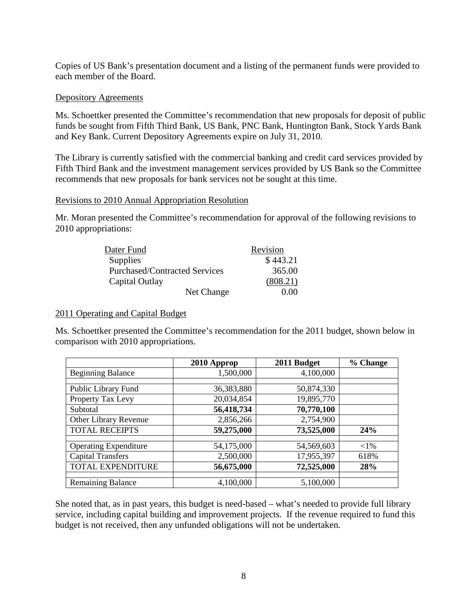Copies of US Bank's presentation document and a listing of the permanent funds were provided to each member of the Board.

#### Depository Agreements

Ms. Schoettker presented the Committee's recommendation that new proposals for deposit of public funds be sought from Fifth Third Bank, US Bank, PNC Bank, Huntington Bank, Stock Yards Bank and Key Bank. Current Depository Agreements expire on July 31, 2010.

The Library is currently satisfied with the commercial banking and credit card services provided by Fifth Third Bank and the investment management services provided by US Bank so the Committee recommends that new proposals for bank services not be sought at this time.

#### Revisions to 2010 Annual Appropriation Resolution

Mr. Moran presented the Committee's recommendation for approval of the following revisions to 2010 appropriations:

| Dater Fund                           | Revision |
|--------------------------------------|----------|
| <b>Supplies</b>                      | \$443.21 |
| <b>Purchased/Contracted Services</b> | 365.00   |
| Capital Outlay                       | (808.21) |
| Net Change                           | 0.00     |

#### 2011 Operating and Capital Budget

Ms. Schoettker presented the Committee's recommendation for the 2011 budget, shown below in comparison with 2010 appropriations.

|                              | 2010 Approp | 2011 Budget | % Change |
|------------------------------|-------------|-------------|----------|
| <b>Beginning Balance</b>     | 1,500,000   | 4,100,000   |          |
|                              |             |             |          |
| Public Library Fund          | 36,383,880  | 50,874,330  |          |
| Property Tax Levy            | 20,034,854  | 19,895,770  |          |
| Subtotal                     | 56,418,734  | 70,770,100  |          |
| Other Library Revenue        | 2,856,266   | 2,754,900   |          |
| <b>TOTAL RECEIPTS</b>        | 59,275,000  | 73,525,000  | 24%      |
|                              |             |             |          |
| <b>Operating Expenditure</b> | 54,175,000  | 54,569,603  | ${<}1\%$ |
| <b>Capital Transfers</b>     | 2,500,000   | 17,955,397  | 618%     |
| TOTAL EXPENDITURE            | 56,675,000  | 72,525,000  | 28%      |
|                              |             |             |          |
| <b>Remaining Balance</b>     | 4,100,000   | 5,100,000   |          |

She noted that, as in past years, this budget is need-based – what's needed to provide full library service, including capital building and improvement projects. If the revenue required to fund this budget is not received, then any unfunded obligations will not be undertaken.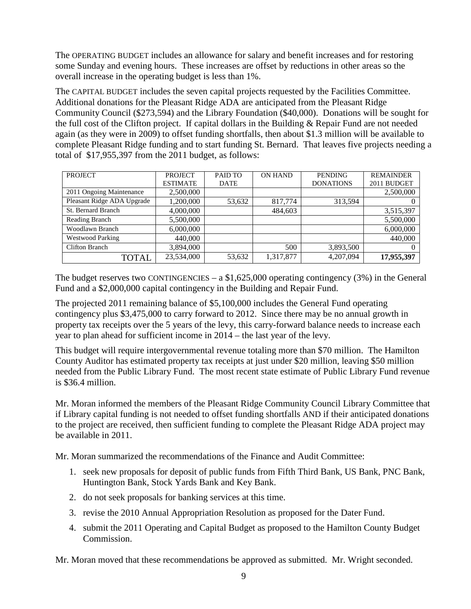The OPERATING BUDGET includes an allowance for salary and benefit increases and for restoring some Sunday and evening hours. These increases are offset by reductions in other areas so the overall increase in the operating budget is less than 1%.

The CAPITAL BUDGET includes the seven capital projects requested by the Facilities Committee. Additional donations for the Pleasant Ridge ADA are anticipated from the Pleasant Ridge Community Council (\$273,594) and the Library Foundation (\$40,000). Donations will be sought for the full cost of the Clifton project. If capital dollars in the Building & Repair Fund are not needed again (as they were in 2009) to offset funding shortfalls, then about \$1.3 million will be available to complete Pleasant Ridge funding and to start funding St. Bernard. That leaves five projects needing a total of \$17,955,397 from the 2011 budget, as follows:

| <b>PROJECT</b>             | PROJECT         | PAID TO     | <b>ON HAND</b> | <b>PENDING</b>   | <b>REMAINDER</b> |
|----------------------------|-----------------|-------------|----------------|------------------|------------------|
|                            | <b>ESTIMATE</b> | <b>DATE</b> |                | <b>DONATIONS</b> | 2011 BUDGET      |
| 2011 Ongoing Maintenance   | 2,500,000       |             |                |                  | 2,500,000        |
| Pleasant Ridge ADA Upgrade | 1,200,000       | 53,632      | 817,774        | 313,594          |                  |
| St. Bernard Branch         | 4,000,000       |             | 484,603        |                  | 3,515,397        |
| Reading Branch             | 5,500,000       |             |                |                  | 5,500,000        |
| Woodlawn Branch            | 6,000,000       |             |                |                  | 6,000,000        |
| <b>Westwood Parking</b>    | 440,000         |             |                |                  | 440,000          |
| <b>Clifton Branch</b>      | 3,894,000       |             | 500            | 3,893,500        |                  |
| TOTAL                      | 23,534,000      | 53,632      | 1,317,877      | 4,207,094        | 17,955,397       |

The budget reserves two CONTINGENCIES – a  $$1,625,000$  operating contingency (3%) in the General Fund and a \$2,000,000 capital contingency in the Building and Repair Fund.

The projected 2011 remaining balance of \$5,100,000 includes the General Fund operating contingency plus \$3,475,000 to carry forward to 2012. Since there may be no annual growth in property tax receipts over the 5 years of the levy, this carry-forward balance needs to increase each year to plan ahead for sufficient income in 2014 – the last year of the levy.

This budget will require intergovernmental revenue totaling more than \$70 million. The Hamilton County Auditor has estimated property tax receipts at just under \$20 million, leaving \$50 million needed from the Public Library Fund. The most recent state estimate of Public Library Fund revenue is \$36.4 million.

Mr. Moran informed the members of the Pleasant Ridge Community Council Library Committee that if Library capital funding is not needed to offset funding shortfalls AND if their anticipated donations to the project are received, then sufficient funding to complete the Pleasant Ridge ADA project may be available in 2011.

Mr. Moran summarized the recommendations of the Finance and Audit Committee:

- 1. seek new proposals for deposit of public funds from Fifth Third Bank, US Bank, PNC Bank, Huntington Bank, Stock Yards Bank and Key Bank.
- 2. do not seek proposals for banking services at this time.
- 3. revise the 2010 Annual Appropriation Resolution as proposed for the Dater Fund.
- 4. submit the 2011 Operating and Capital Budget as proposed to the Hamilton County Budget Commission.

Mr. Moran moved that these recommendations be approved as submitted. Mr. Wright seconded.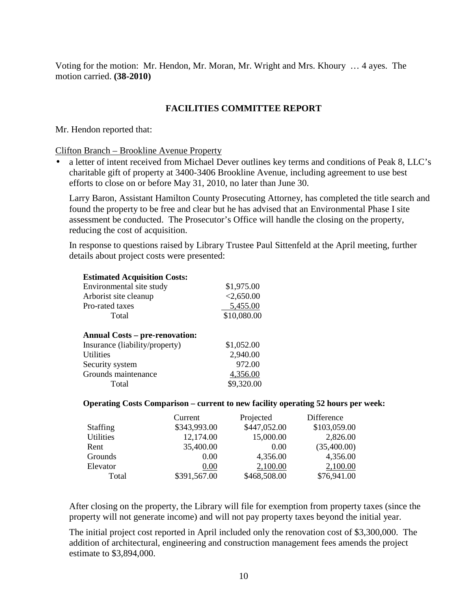Voting for the motion: Mr. Hendon, Mr. Moran, Mr. Wright and Mrs. Khoury … 4 ayes. The motion carried. **(38-2010)**

### **FACILITIES COMMITTEE REPORT**

Mr. Hendon reported that:

Clifton Branch – Brookline Avenue Property

• a letter of intent received from Michael Dever outlines key terms and conditions of Peak 8, LLC's charitable gift of property at 3400-3406 Brookline Avenue, including agreement to use best efforts to close on or before May 31, 2010, no later than June 30.

Larry Baron, Assistant Hamilton County Prosecuting Attorney, has completed the title search and found the property to be free and clear but he has advised that an Environmental Phase I site assessment be conducted. The Prosecutor's Office will handle the closing on the property, reducing the cost of acquisition.

In response to questions raised by Library Trustee Paul Sittenfeld at the April meeting, further details about project costs were presented:

| <b>Estimated Acquisition Costs:</b>                                     |             |
|-------------------------------------------------------------------------|-------------|
| Environmental site study                                                | \$1,975.00  |
| Arborist site cleanup                                                   | < 2,650.00  |
| Pro-rated taxes                                                         | 5,455.00    |
| Total                                                                   | \$10,080.00 |
| <b>Annual Costs – pre-renovation:</b><br>Insurance (liability/property) | \$1,052.00  |
| <b>Utilities</b>                                                        | 2,940.00    |
| Security system                                                         | 972.00      |
| Grounds maintenance                                                     | 4,356.00    |
| Total                                                                   | \$9,320.00  |
|                                                                         |             |

#### **Operating Costs Comparison – current to new facility operating 52 hours per week:**

|                  | Current      | Projected    | Difference   |
|------------------|--------------|--------------|--------------|
| <b>Staffing</b>  | \$343,993.00 | \$447,052.00 | \$103,059.00 |
| <b>Utilities</b> | 12,174.00    | 15,000.00    | 2,826.00     |
| Rent             | 35,400.00    | 0.00         | (35,400.00)  |
| Grounds          | 0.00         | 4,356.00     | 4,356.00     |
| Elevator         | 0.00         | 2,100.00     | 2,100.00     |
| Total            | \$391,567.00 | \$468,508.00 | \$76,941.00  |

After closing on the property, the Library will file for exemption from property taxes (since the property will not generate income) and will not pay property taxes beyond the initial year.

The initial project cost reported in April included only the renovation cost of \$3,300,000. The addition of architectural, engineering and construction management fees amends the project estimate to \$3,894,000.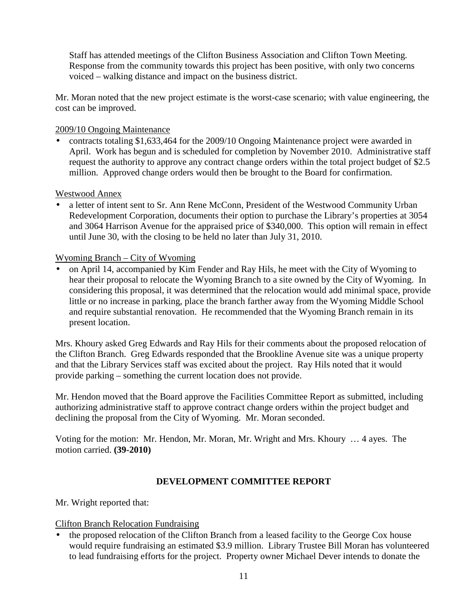Staff has attended meetings of the Clifton Business Association and Clifton Town Meeting. Response from the community towards this project has been positive, with only two concerns voiced – walking distance and impact on the business district.

Mr. Moran noted that the new project estimate is the worst-case scenario; with value engineering, the cost can be improved.

## 2009/10 Ongoing Maintenance

• contracts totaling \$1,633,464 for the 2009/10 Ongoing Maintenance project were awarded in April. Work has begun and is scheduled for completion by November 2010. Administrative staff request the authority to approve any contract change orders within the total project budget of \$2.5 million. Approved change orders would then be brought to the Board for confirmation.

### Westwood Annex

• a letter of intent sent to Sr. Ann Rene McConn, President of the Westwood Community Urban Redevelopment Corporation, documents their option to purchase the Library's properties at 3054 and 3064 Harrison Avenue for the appraised price of \$340,000. This option will remain in effect until June 30, with the closing to be held no later than July 31, 2010.

# Wyoming Branch – City of Wyoming

• on April 14, accompanied by Kim Fender and Ray Hils, he meet with the City of Wyoming to hear their proposal to relocate the Wyoming Branch to a site owned by the City of Wyoming. In considering this proposal, it was determined that the relocation would add minimal space, provide little or no increase in parking, place the branch farther away from the Wyoming Middle School and require substantial renovation. He recommended that the Wyoming Branch remain in its present location.

Mrs. Khoury asked Greg Edwards and Ray Hils for their comments about the proposed relocation of the Clifton Branch. Greg Edwards responded that the Brookline Avenue site was a unique property and that the Library Services staff was excited about the project. Ray Hils noted that it would provide parking – something the current location does not provide.

Mr. Hendon moved that the Board approve the Facilities Committee Report as submitted, including authorizing administrative staff to approve contract change orders within the project budget and declining the proposal from the City of Wyoming. Mr. Moran seconded.

Voting for the motion: Mr. Hendon, Mr. Moran, Mr. Wright and Mrs. Khoury … 4 ayes. The motion carried. **(39-2010)**

### **DEVELOPMENT COMMITTEE REPORT**

Mr. Wright reported that:

### Clifton Branch Relocation Fundraising

• the proposed relocation of the Clifton Branch from a leased facility to the George Cox house would require fundraising an estimated \$3.9 million. Library Trustee Bill Moran has volunteered to lead fundraising efforts for the project. Property owner Michael Dever intends to donate the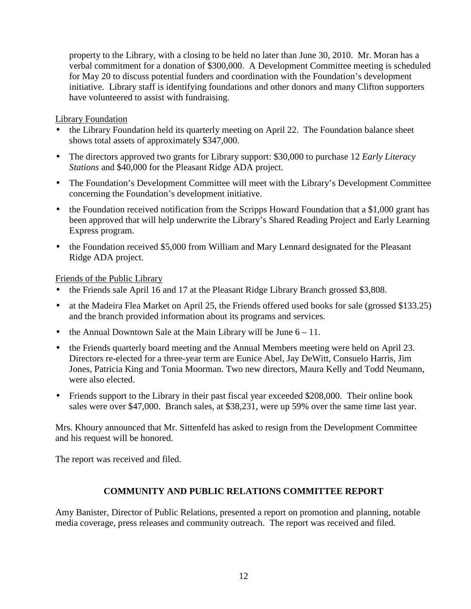property to the Library, with a closing to be held no later than June 30, 2010. Mr. Moran has a verbal commitment for a donation of \$300,000. A Development Committee meeting is scheduled for May 20 to discuss potential funders and coordination with the Foundation's development initiative. Library staff is identifying foundations and other donors and many Clifton supporters have volunteered to assist with fundraising.

### Library Foundation

- the Library Foundation held its quarterly meeting on April 22. The Foundation balance sheet shows total assets of approximately \$347,000.
- The directors approved two grants for Library support: \$30,000 to purchase 12 *Early Literacy Stations* and \$40,000 for the Pleasant Ridge ADA project.
- The Foundation's Development Committee will meet with the Library's Development Committee concerning the Foundation's development initiative.
- the Foundation received notification from the Scripps Howard Foundation that a \$1,000 grant has been approved that will help underwrite the Library's Shared Reading Project and Early Learning Express program.
- the Foundation received \$5,000 from William and Mary Lennard designated for the Pleasant Ridge ADA project.

Friends of the Public Library

- the Friends sale April 16 and 17 at the Pleasant Ridge Library Branch grossed \$3,808.
- at the Madeira Flea Market on April 25, the Friends offered used books for sale (grossed \$133.25) and the branch provided information about its programs and services.
- the Annual Downtown Sale at the Main Library will be June  $6 11$ .
- the Friends quarterly board meeting and the Annual Members meeting were held on April 23. Directors re-elected for a three-year term are Eunice Abel, Jay DeWitt, Consuelo Harris, Jim Jones, Patricia King and Tonia Moorman. Two new directors, Maura Kelly and Todd Neumann, were also elected.
- Friends support to the Library in their past fiscal year exceeded \$208,000. Their online book sales were over \$47,000. Branch sales, at \$38,231, were up 59% over the same time last year.

Mrs. Khoury announced that Mr. Sittenfeld has asked to resign from the Development Committee and his request will be honored.

The report was received and filed.

### **COMMUNITY AND PUBLIC RELATIONS COMMITTEE REPORT**

Amy Banister, Director of Public Relations, presented a report on promotion and planning, notable media coverage, press releases and community outreach. The report was received and filed.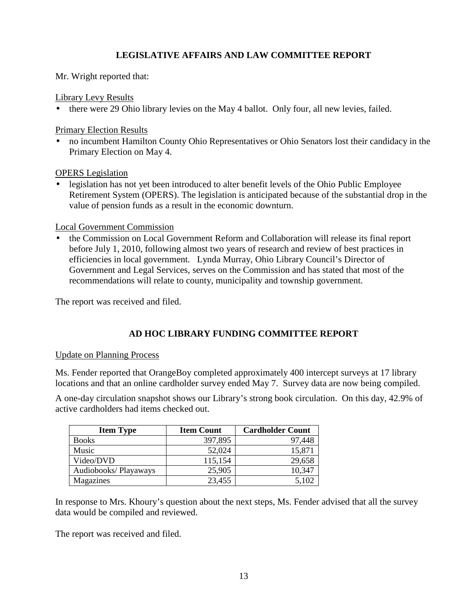# **LEGISLATIVE AFFAIRS AND LAW COMMITTEE REPORT**

Mr. Wright reported that:

Library Levy Results

• there were 29 Ohio library levies on the May 4 ballot. Only four, all new levies, failed.

Primary Election Results

• no incumbent Hamilton County Ohio Representatives or Ohio Senators lost their candidacy in the Primary Election on May 4.

OPERS Legislation

• legislation has not yet been introduced to alter benefit levels of the Ohio Public Employee Retirement System (OPERS). The legislation is anticipated because of the substantial drop in the value of pension funds as a result in the economic downturn.

Local Government Commission

• the Commission on Local Government Reform and Collaboration will release its final report before July 1, 2010, following almost two years of research and review of best practices in efficiencies in local government. Lynda Murray, Ohio Library Council's Director of Government and Legal Services, serves on the Commission and has stated that most of the recommendations will relate to county, municipality and township government.

The report was received and filed.

# **AD HOC LIBRARY FUNDING COMMITTEE REPORT**

### Update on Planning Process

Ms. Fender reported that OrangeBoy completed approximately 400 intercept surveys at 17 library locations and that an online cardholder survey ended May 7. Survey data are now being compiled.

A one-day circulation snapshot shows our Library's strong book circulation. On this day, 42.9% of active cardholders had items checked out.

| <b>Item Type</b>     | <b>Item Count</b> | <b>Cardholder Count</b> |
|----------------------|-------------------|-------------------------|
| <b>Books</b>         | 397,895           | 97,448                  |
| Music                | 52,024            | 15,871                  |
| Video/DVD            | 115,154           | 29,658                  |
| Audiobooks/Playaways | 25,905            | 10,347                  |
| Magazines            | 23,455            | 5,102                   |

In response to Mrs. Khoury's question about the next steps, Ms. Fender advised that all the survey data would be compiled and reviewed.

The report was received and filed.